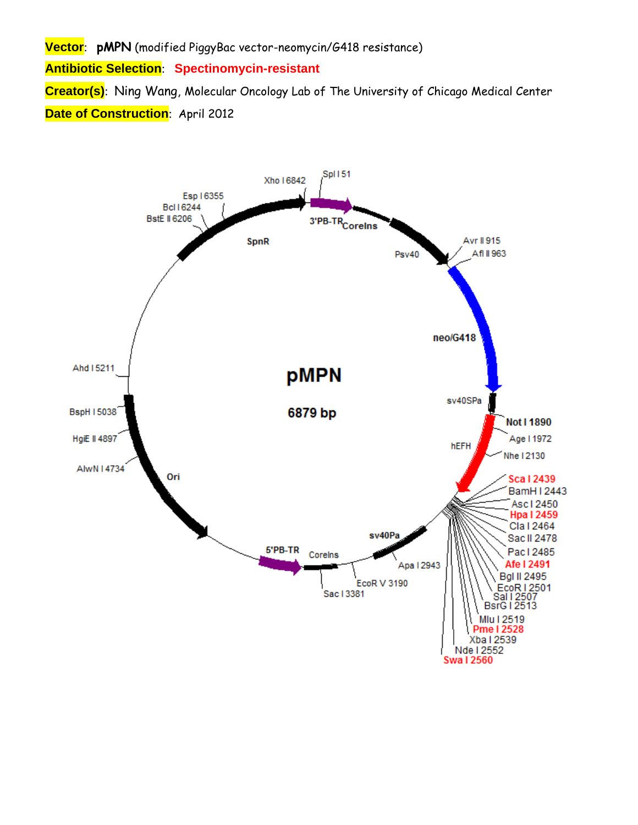**Vector**: **pMPN** (modified PiggyBac vector-neomycin/G418 resistance)

**Antibiotic Selection**: **Spectinomycin-resistant** 

**Creator(s)**: Ning Wang, Molecular Oncology Lab of The University of Chicago Medical Center **Date of Construction**: April 2012

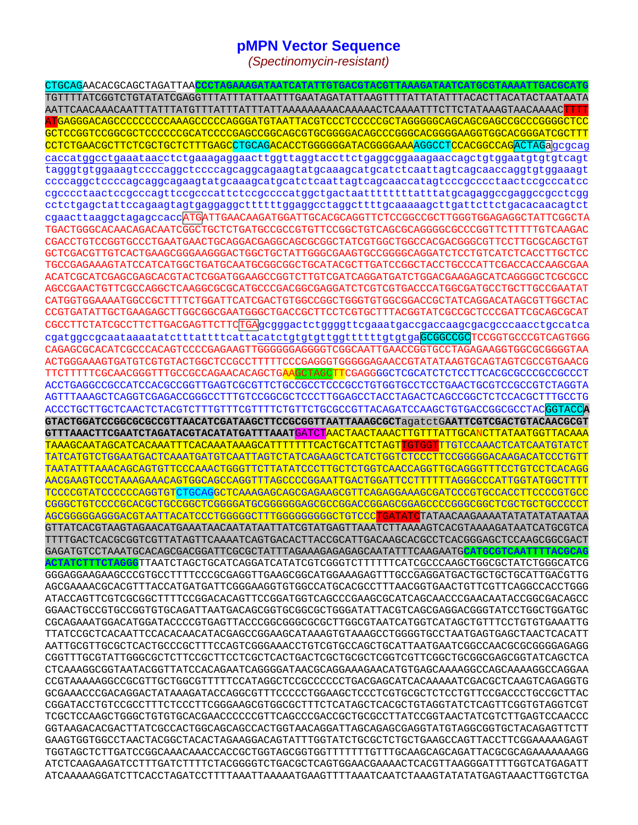## **pMPN Vector Sequence**

*(Spectinomycin-resistant)* 

CTGCAGAACACGCAGCTAGATTAA**CCCTAGAAAGATAATCATATTGTGACGTACGTTAAAGATAATCATGCGTAAAATTGACGCATG** TGTTTTATCGGTCTGTATATCGAGGTTTATTTATTAATTTGAATAGATATTAAGTTTTATTATATTTACACTTACATACTAATAATA AATTCAACAAACAATTTATTTATGTTTATTTATTTATTAAAAAAAAACAAAAACTCAAAATTTCTTCTATAAAGTAACAAAACTTTT ATGAGGGACAGCCCCCCCCCAAAGCCCCCAGGGATGTAATTACGTCCCTCCCCCGCTAGGGGGCAGCAGCGAGCCGCCCGGGGCTCC GCTCCGGTCCGGCGCTCCCCCCGCATCCCCGAGCCGGCAGCGTGCGGGGACAGCCCGGGCACGGGGAAGGTGGCACGGGATCGCTTT CCTCTGAACGCTTCTCGCTGCTCTTTGAGCCTGCAGACACCTGGGGGGATACGGGGAAAAGGCCTCCACGCCAGACTAGagcgcag caccatggcctgaaataacctctgaaagaggaacttggttaggtaccttctgaggcggaaagaaccagctgtggaatgtgtgtcagt tagggtgtggaaagtccccaggctccccagcaggcagaagtatgcaaagcatgcatctcaattagtcagcaaccaggtgtggaaagt ccccaggctccccagcaggcagaagtatgcaaagcatgcatctcaattagtcagcaaccatagtcccgcccctaactccgcccatcc cgcccctaactccgcccagttccgcccattctccgccccatggctgactaattttttttatttatgcagaggccgaggccgcctcgg cctctgagctattccagaagtagtgaggaggcttttttggaggcctaggcttttgcaaaaagcttgattcttctgacacaacagtct cgaacttaaggctagagccaccATGATTGAACAAGATGGATTGCACGCAGGTTCTCCGGCCGCTTGGGTGGAGAGGCTATTCGGCTA TGACTGGGCACAACAGACAATCGGCTGCTCTGATGCCGCCGTGTTCCGGCTGTCAGCGCAGGGGCGCCCGGTTCTTTTTGTCAAGAC CGACCTGTCCGGTGCCCTGAATGAACTGCAGGACGAGGCAGCGCGGCTATCGTGGCTGGCCACGACGGGCGTTCCTTGCGCAGCTGT GCTCGACGTTGTCACTGAAGCGGGAAGGGACTGGCTGCTATTGGGCGAAGTGCCGGGGCAGGATCTCCTGTCATCTCACCTTGCTCC TGCCGAGAAAGTATCCATCATGGCTGATGCAATGCGGCGGCTGCATACGCTTGATCCGGCTACCTGCCCATTCGACCACCAAGCGAA ACATCGCATCGAGCGAGCACGTACTCGGATGGAAGCCGGTCTTGTCGATCAGGATGATCTGGACGAAGAGCATCAGGGGCTCGCGCC AGCCGAACTGTTCGCCAGGCTCAAGGCGCGCATGCCCGACGGCGAGGATCTCGTCGTGACCCATGGCGATGCCTGCTTGCCGAATAT CATGGTGGAAAATGGCCGCTTTTCTGGATTCATCGACTGTGGCCGGCTGGGTGTGGCGGACCGCTATCAGGACATAGCGTTGGCTAC CCGTGATATTGCTGAAGAGCTTGGCGGCGAATGGGCTGACCGCTTCCTCGTGCTTTACGGTATCGCCGCTCCCGATTCGCAGCGCAT CGCCTTCTATCGCCTTCTTGACGAGTTCTTCTGAgcgggactctggggttcgaaatgaccgaccaagcgacgcccaacctgccatca cgatggccgcaataaaatatctttattttcattacatctgtgtgttggttttttgtgtgaGCGGCCGCCGCGTGCCCGTCAGTGGG CAGAGCGCACATCGCCCACAGTCCCCGAGAAGTTGGGGGGAGGGGTCGGCAATTGAACCGGTGCCTAGAGAAGGTGGCGCGGGGTAA ACTGGGAAAGTGATGTCGTGTACTGGCTCCGCCTTTTTCCCGAGGGTGGGGGAGAACCGTATATAAGTGCAGTAGTCGCCGTGAACG TTCTTTTTCGCAACGGGTTTGCCGCCAGAACACAGCTGAAGCTAGCTTCGAGGGGCTCGCATCTCTCCTTCACGCGCCCGCCGCCCT ACCTGAGGCCGCCATCCACGCCGGTTGAGTCGCGTTCTGCCGCCTCCCGCCTGTGGTGCCTCCTGAACTGCGTCCGCCGTCTAGGTA AGTTTAAAGCTCAGGTCGAGACCGGGCCTTTGTCCGGCGCTCCCTTGGAGCCTACCTAGACTCAGCCGGCTCTCCACGCTTTGCCTG ACCCTGCTTGCTCAACTCTACGTCTTTGTTTCGTTTTCTGTTCTGCGCCGTTACAGATCCAAGCTGTGACCGGCGCCTACGGTACC**A GTACTGGATCCGGCGCGCCGTTAACATCGATAAGCTTCCGCGGTTAATTAAAGCGCT**agatctG**AATTCGTCGACTGTACAACGCGT GTTTAAACTTCGAATCTAGATACGTACATATGATTTAAAT**GATCTAACTAACTAAACTTGTTTATTGCANCTTATAATGGTTACAAA TAAAGCAATAGCATCACAAATTTCACAAATAAAGCATTTTTTTCACTGCATTCTAGTTGTGGTTTGTCCAAACTCATCAATGTATCT TATCATGTCTGGAATGACTCAAATGATGTCAATTAGTCTATCAGAAGCTCATCTGGTCTCCCTTCCGGGGGACAAGACATCCCTGTT TAATATTTAAACAGCAGTGTTCCCAAACTGGGTTCTTATATCCCTTGCTCTGGTCAACCAGGTTGCAGGGTTTCCTGTCCTCACAGG AACGAAGTCCCTAAAGAAACAGTGGCAGCCAGGTTTAGCCCCGGAATTGACTGGATTCCTTTTTTAGGGCCCATTGGTATGGCTTTT TCCCCGTATCCCCCCAGGTGTCTGCAGGCTCAAAGAGCAGCGAGAAGCGTTCAGAGGAAAGCGATCCCGTGCCACCTTCCCCGTGCC CGGGCTGTCCCCGCACGCTGCCGGCTCGGGGATGCGGGGGGAGCGCCGGACCGGAGCGGAGCCCCGGGCGGCTCGCTGCTGCCCCCT AGCGGGGGAGGGACGTAATTACATCCCTGGGGGCTTTGGGGGGGGGCTGTCCCTGATATCTATAACAAGAAAATATATATATAATAA GTTATCACGTAAGTAGAACATGAAATAACAATATAATTATCGTATGAGTTAAATCTTAAAAGTCACGTAAAAGATAATCATGCGTCA TTTTGACTCACGCGGTCGTTATAGTTCAAAATCAGTGACACTTACCGCATTGACAAGCACGCCTCACGGGAGCTCCAAGCGGCGACT GAGATGTCCTAAATGCACAGCGACGGATTCGCGCTATTTAGAAAGAGAGAGCAATATTTCAAGAATG**CATGCGTCAATTTTACGCAG ACTATCTTTCTAGGG**TTAATCTAGCTGCATCAGGATCATATCGTCGGGTCTTTTTTCATCGCCCAAGCTGGCGCTATCTGGGCATCG GGGAGGAAGAAGCCCGTGCCTTTTCCCGCGAGGTTGAAGCGGCATGGAAAGAGTTTGCCGAGGATGACTGCTGCTGCATTGACGTTG AGCGAAAACGCACGTTTACCATGATGATTCGGGAAGGTGTGGCCATGCACGCCTTTAACGGTGAACTGTTCGTTCAGGCCACCTGGG ATACCAGTTCGTCGCGGCTTTTCCGGACACAGTTCCGGATGGTCAGCCCGAAGCGCATCAGCAACCCGAACAATACCGGCGACAGCC GGAACTGCCGTGCCGGTGTGCAGATTAATGACAGCGGTGCGGCGCTGGGATATTACGTCAGCGAGGACGGGTATCCTGGCTGGATGC CGCAGAAATGGACATGGATACCCCGTGAGTTACCCGGCGGGCGCGCTTGGCGTAATCATGGTCATAGCTGTTTCCTGTGTGAAATTG TTATCCGCTCACAATTCCACACAACATACGAGCCGGAAGCATAAAGTGTAAAGCCTGGGGTGCCTAATGAGTGAGCTAACTCACATT AATTGCGTTGCGCTCACTGCCCGCTTTCCAGTCGGGAAACCTGTCGTGCCAGCTGCATTAATGAATCGGCCAACGCGCGGGGAGAGG CGGTTTGCGTATTGGGCGCTCTTCCGCTTCCTCGCTCACTGACTCGCTGCGCTCGGTCGTTCGGCTGCGGCGAGCGGTATCAGCTCA CTCAAAGGCGGTAATACGGTTATCCACAGAATCAGGGGATAACGCAGGAAAGAACATGTGAGCAAAAGGCCAGCAAAAGGCCAGGAA CCGTAAAAAGGCCGCGTTGCTGGCGTTTTTCCATAGGCTCCGCCCCCCTGACGAGCATCACAAAAATCGACGCTCAAGTCAGAGGTG GCGAAACCCGACAGGACTATAAAGATACCAGGCGTTTCCCCCTGGAAGCTCCCTCGTGCGCTCTCCTGTTCCGACCCTGCCGCTTAC CGGATACCTGTCCGCCTTTCTCCCTTCGGGAAGCGTGGCGCTTTCTCATAGCTCACGCTGTAGGTATCTCAGTTCGGTGTAGGTCGT TCGCTCCAAGCTGGGCTGTGTGCACGAACCCCCCGTTCAGCCCGACCGCTGCGCCTTATCCGGTAACTATCGTCTTGAGTCCAACCC GGTAAGACACGACTTATCGCCACTGGCAGCAGCCACTGGTAACAGGATTAGCAGAGCGAGGTATGTAGGCGGTGCTACAGAGTTCTT GAAGTGGTGGCCTAACTACGGCTACACTAGAAGGACAGTATTTGGTATCTGCGCTCTGCTGAAGCCAGTTACCTTCGGAAAAAGAGT TGGTAGCTCTTGATCCGGCAAACAAACCACCGCTGGTAGCGGTGGTTTTTTTGTTTGCAAGCAGCAGATTACGCGCAGAAAAAAAGG ATCTCAAGAAGATCCTTTGATCTTTTCTACGGGGTCTGACGCTCAGTGGAACGAAAACTCACGTTAAGGGATTTTGGTCATGAGATT ATCAAAAAGGATCTTCACCTAGATCCTTTTAAATTAAAAATGAAGTTTTAAATCAATCTAAAGTATATATGAGTAAACTTGGTCTGA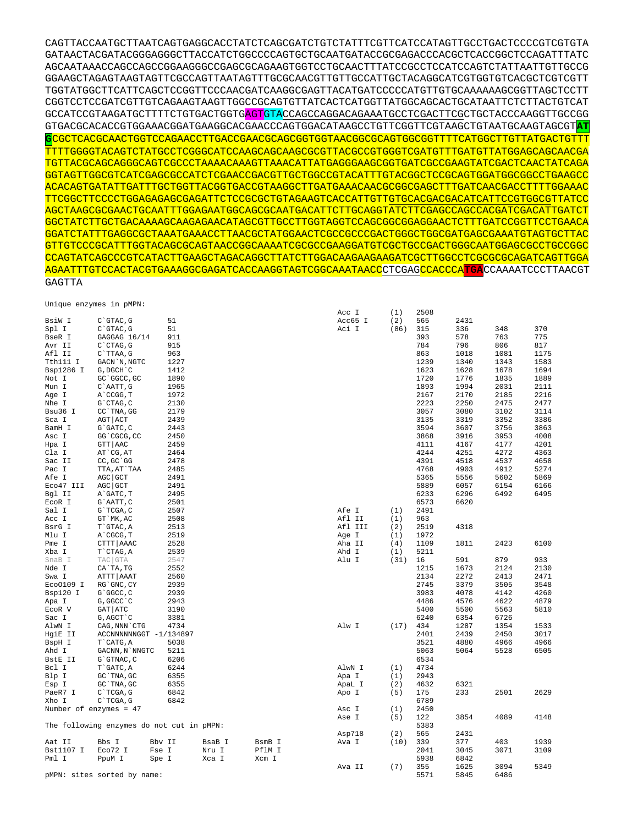| $\frac{1}{2}$          |                                           |        |        |        | Acc I   | (1)  | 2508 |      |              |      |
|------------------------|-------------------------------------------|--------|--------|--------|---------|------|------|------|--------------|------|
| BsiW I                 | C`GTAC, G                                 | 51     |        |        | Acc65 I | (2)  | 565  | 2431 |              |      |
| Spl I                  | $C$ $GTAC$ , $G$                          | 51     |        |        | Aci I   | (86) | 315  | 336  | 348          | 370  |
| BseR I                 | GAGGAG 16/14                              | 911    |        |        |         |      | 393  | 578  | 763          | 775  |
| Avr II                 | C`CTAG, G                                 | 915    |        |        |         |      | 784  | 796  | 806          | 817  |
| Afl II                 | C`TTAA, G                                 | 963    |        |        |         |      | 863  | 1018 | 1081         | 1175 |
| Tth111 I               | GACN `N, NGTC                             | 1227   |        |        |         |      | 1239 | 1340 | 1343         | 1583 |
| Bsp1286 I              | G, DGCH C                                 | 1412   |        |        |         |      | 1623 | 1628 | 1678         | 1694 |
| Not I                  | GC `GGCC, GC                              | 1890   |        |        |         |      | 1720 | 1776 | 1835         | 1889 |
| Mun I                  | C`AATT, G                                 | 1965   |        |        |         |      | 1893 | 1994 | 2031         | 2111 |
|                        |                                           | 1972   |        |        |         |      | 2167 | 2170 |              | 2216 |
| Age I                  | A CCGG, T                                 | 2130   |        |        |         |      | 2223 | 2250 | 2185<br>2475 | 2477 |
| Nhe I                  | G`CTAG, C                                 |        |        |        |         |      |      |      |              |      |
| Bsu36 I                | CC `TNA, GG                               | 2179   |        |        |         |      | 3057 | 3080 | 3102         | 3114 |
| Sca I                  | AGT   ACT                                 | 2439   |        |        |         |      | 3135 | 3319 | 3352         | 3386 |
| BamH I                 | G`GATC, C                                 | 2443   |        |        |         |      | 3594 | 3607 | 3756         | 3863 |
| Asc I                  | GG`CGCG, CC                               | 2450   |        |        |         |      | 3868 | 3916 | 3953         | 4008 |
| Hpa I                  | GTT AAC                                   | 2459   |        |        |         |      | 4111 | 4167 | 4177         | 4201 |
| Cla I                  | AT CG, AT                                 | 2464   |        |        |         |      | 4244 | 4251 | 4272         | 4363 |
| Sac II                 | $CC, GC$ GG                               | 2478   |        |        |         |      | 4391 | 4518 | 4537         | 4658 |
| Pac I                  | TTA, AT`TAA                               | 2485   |        |        |         |      | 4768 | 4903 | 4912         | 5274 |
| Afe I                  | AGC GCT                                   | 2491   |        |        |         |      | 5365 | 5556 | 5602         | 5869 |
| Eco47 III              | AGC GCT                                   | 2491   |        |        |         |      | 5889 | 6057 | 6154         | 6166 |
| Bgl II                 | A GATC, T                                 | 2495   |        |        |         |      | 6233 | 6296 | 6492         | 6495 |
| ECOR I                 | G`AATT, C                                 | 2501   |        |        |         |      | 6573 | 6620 |              |      |
| Sal I                  | G`TCGA, C                                 | 2507   |        |        | Afe I   | (1)  | 2491 |      |              |      |
| Acc I                  | GT `MK, AC                                | 2508   |        |        | Afl II  | (1)  | 963  |      |              |      |
| BsrG I                 | T`GTAC, A                                 | 2513   |        |        | Afl III | (2)  | 2519 | 4318 |              |      |
| Mlu I                  | A CGCG, T                                 | 2519   |        |        | Age I   | (1)  | 1972 |      |              |      |
| Pme I                  | CTTT AAAC                                 | 2528   |        |        | Aha II  | (4)  | 1109 | 1811 | 2423         | 6100 |
| Xba I                  | T`CTAG, A                                 | 2539   |        |        | Ahd I   | (1)  | 5211 |      |              |      |
| SnaB I                 | TAC GTA                                   | 2547   |        |        | Alu I   | (31) | 16   | 591  | 879          | 933  |
| Nde I                  | CA`TA, TG                                 | 2552   |        |        |         |      | 1215 | 1673 | 2124         | 2130 |
| Swa I                  | ATTT   AAAT                               | 2560   |        |        |         |      | 2134 | 2272 | 2413         | 2471 |
| Eco0109 I              | RG`GNC, CY                                | 2939   |        |        |         |      | 2745 | 3379 | 3505         | 3548 |
| Bsp120 I               | G`GGCC, C                                 | 2939   |        |        |         |      | 3983 | 4078 | 4142         | 4260 |
| Apa I                  | G, GGCC `C                                | 2943   |        |        |         |      | 4486 | 4576 | 4622         | 4879 |
| ECOR V                 | GAT ATC                                   | 3190   |        |        |         |      | 5400 | 5500 | 5563         | 5810 |
| Sac I                  | G, AGCT `C                                | 3381   |        |        |         |      | 6240 | 6354 | 6726         |      |
| AlwN I                 | CAG, NNN CTG                              | 4734   |        |        | Alw I   | (17) | 434  | 1287 | 1354         | 1533 |
| HgiE II                | ACCNNNNNNGGT -1/134897                    |        |        |        |         |      | 2401 | 2439 | 2450         | 3017 |
| BspH I                 | T CATG, A                                 | 5038   |        |        |         |      | 3521 | 4880 | 4966         | 4966 |
| Ahd I                  | GACNN, N`NNGTC                            | 5211   |        |        |         |      | 5063 | 5064 | 5528         | 6505 |
| BstE II                | G`GTNAC, C                                | 6206   |        |        |         |      | 6534 |      |              |      |
| Bcl I                  | T`GATC, A                                 | 6244   |        |        | AlwN I  | (1)  | 4734 |      |              |      |
| Blp I                  | GC TNA, GC                                | 6355   |        |        | Apa I   | (1)  | 2943 |      |              |      |
| Esp I                  | GC TNA, GC                                | 6355   |        |        | ApaL I  | (2)  | 4632 | 6321 |              |      |
| PaeR7 I                | C`TCGA, G                                 | 6842   |        |        | Apo I   | (5)  | 175  | 233  | 2501         | 2629 |
| Xho I                  | C`TCGA, G                                 | 6842   |        |        |         |      | 6789 |      |              |      |
| Number of enzymes = 47 |                                           |        |        |        | Asc I   | (1)  | 2450 |      |              |      |
|                        |                                           |        |        |        | Ase I   | (5)  | 122  | 3854 | 4089         | 4148 |
|                        | The following enzymes do not cut in pMPN: |        |        |        |         |      | 5383 |      |              |      |
|                        |                                           |        |        |        | Asp718  | (2)  | 565  | 2431 |              |      |
| Aat II                 | Bbs I                                     | Bbv II | BsaB I | BsmB I | Ava I   | (10) | 339  | 377  | 403          | 1939 |
| Bst1107 I              | Eco72 I                                   | Fse I  | Nru I  | PflM I |         |      | 2041 | 3045 | 3071         | 3109 |
| Pml I                  | PpuM I                                    | Spe I  | Xca I  | Xcm I  |         |      | 5938 | 6842 |              |      |
|                        |                                           |        |        |        | Ava II  | (7)  | 355  | 1625 | 3094         | 5349 |
|                        | pMPN: sites sorted by name:               |        |        |        |         |      | 5571 | 5845 | 6486         |      |

Unique enzymes in pMPN:

## GAGTTA

CAGTTACCAATGCTTAATCAGTGAGGCACCTATCTCAGCGATCTGTCTATTTCGTTCATCCATAGTTGCCTGACTCCCCGTCGTGTA GATAACTACGATACGGGAGGGCTTACCATCTGGCCCCAGTGCTGCAATGATACCGCGAGACCCACGCTCACCGGCTCCAGATTTATC AGCAATAAACCAGCCAGCCGGAAGGGCCGAGCGCAGAAGTGGTCCTGCAACTTTATCCGCCTCCATCCAGTCTATTAATTGTTGCCG GGAAGCTAGAGTAAGTAGTTCGCCAGTTAATAGTTTGCGCAACGTTGTTGCCATTGCTACAGGCATCGTGGTGTCACGCTCGTCGTT TGGTATGGCTTCATTCAGCTCCGGTTCCCAACGATCAAGGCGAGTTACATGATCCCCCATGTTGTGCAAAAAAGCGGTTAGCTCCTT CGGTCCTCCGATCGTTGTCAGAAGTAAGTTGGCCGCAGTGTTATCACTCATGGTTATGGCAGCACTGCATAATTCTCTTACTGTCAT GCCATCCGTAAGATGCTTTTCTGTGACTGGTG<mark>AGT</mark>GTACCAGCCAGGACAGAAATGCCTCGACTTCGCTGCTACCCAAGGTTGCCGG GTGACGCACACCGTGGAAACGGATGAAGGCACGAACCCAGTGGACATAAGCCTGTTCGGTTCGTAAGCTGTAATGCAAGTAGCGT**AT G**CGCTCACGCAACTGGTCCAGAACCTTGACCGAACGCAGCGGTGGTAACGGCGCAGTGGCGGTTTTCATGGCTTGTTATGACTGTTT TTTTGGGGTACAGTCTATGCCTCGGGCATCCAAGCAGCAAGCGCGTTACGCCGTGGGTCGATGTTTGATGTTATGGAGCAGCAACGA TGTTACGCAGCAGGGCAGTCGCCCTAAAACAAAGTTAAACATTATGAGGGAAGCGGTGATCGCCGAAGTATCGACTCAACTATCAGA GGTAGTTGGCGTCATCGAGCGCCATCTCGAACCGACGTTGCTGGCCGTACATTTGTACGGCTCCGCAGTGGATGGCGGCCTGAAGCC ACACAGTGATATTGATTTGCTGGTTACGGTGACCGTAAGGCTTGATGAAACAACGCGGCGAGCTTTGATCAACGACCTTTTGGAAAC TTCGGCTTCCCCTGGAGAGAGCGAGATTCTCCGCGCTGTAGAAGTCACCATTGTTGTGCACGACGACATCATTCCGTGGCGTTATCC AGCTAAGCGCGAACTGCAATTTGGAGAATGGCAGCGCAATGACATTCTTGCAGGTATCTTCGAGCCAGCCACGATCGACATTGATCT GGCTATCTTGCTGACAAAAGCAAGAGAACATAGCGTTGCCTTGGTAGGTCCAGCGGCGGAGGAACTCTTTGATCCGGTTCCTGAACA GGATCTATTTGAGGCGCTAAATGAAACCTTAACGCTATGGAACTCGCCGCCCGACTGGGCTGGCGATGAGCGAAATGTAGTGCTTAC GTTGTCCCGCATTTGGTACAGCGCAGTAACCGGCAAAATCGCGCCGAAGGATGTCGCTGCCGACTGGGCAATGGAGCGCCTGCCGGC CCAGTATCAGCCCGTCATACTTGAAGCTAGACAGGCTTATCTTGGACAAGAAGAAGATCGCTTGGCCTCGCGCGCAGATCAGTTGGA AGAATTTGTCCACTACGTGAAAGGCGAGATCACCAAGGTAGTCGGCAAATAACCCTCGAGCCACCCA**TGA**CCAAAATCCCTTAACGT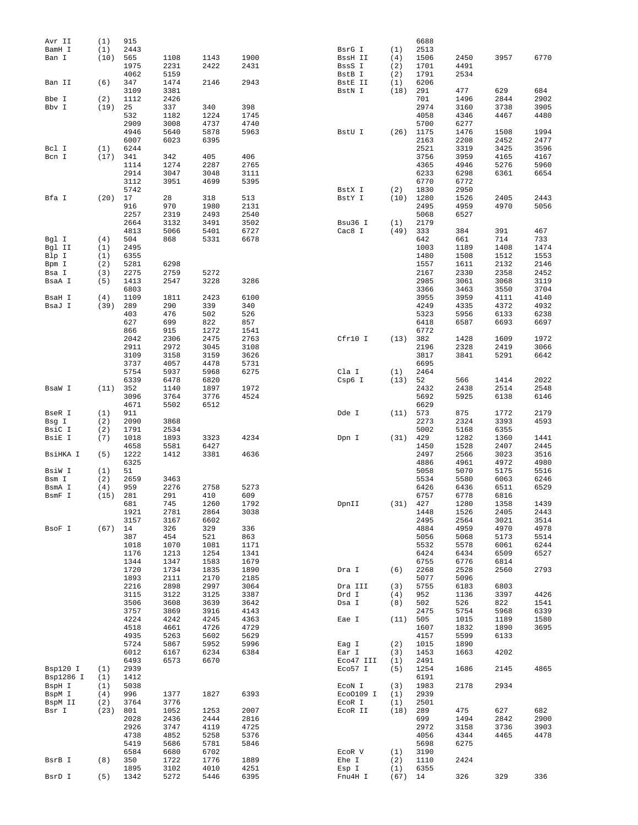| Avr II    | (1)  | 915          |              |              |              |                  |             | 6688       |      |      |      |
|-----------|------|--------------|--------------|--------------|--------------|------------------|-------------|------------|------|------|------|
| BamH I    | (1)  | 2443         |              |              |              | BsrG I           | (1)         | 2513       |      |      |      |
| Ban I     | (10) | 565          | 1108         | 1143         | 1900         | BssH II          | (4)         | 1506       | 2450 | 3957 | 6770 |
|           |      | 1975         | 2231         | 2422         | 2431         | BssS I           | (2)         | 1701       | 4491 |      |      |
|           |      | 4062         | 5159         |              |              | BstB I           | (2)         | 1791       | 2534 |      |      |
| Ban II    | (6)  | 347          | 1474         | 2146         | 2943         | BstE II          | (1)         | 6206       |      |      |      |
|           |      | 3109         | 3381         |              |              | BstN I           | (18)        | 291        | 477  | 629  | 684  |
| Bbe I     | (2)  | 1112         | 2426         |              |              |                  |             | 701        | 1496 | 2844 | 2902 |
| Bbv I     | (19) | 25           | 337          | 340          | 398          |                  |             | 2974       | 3160 | 3738 | 3905 |
|           |      | 532          | 1182         | 1224         | 1745         |                  |             | 4058       | 4346 | 4467 | 4480 |
|           |      | 2909         | 3008         | 4737         | 4740         |                  |             | 5700       | 6277 |      |      |
|           |      | 4946         | 5640         | 5878         | 5963         | BstU I           | (26)        | 1175       | 1476 | 1508 | 1994 |
|           |      | 6007         | 6023         | 6395         |              |                  |             | 2163       | 2208 | 2452 | 2477 |
| Bcl I     | (1)  | 6244         |              |              |              |                  |             | 2521       | 3319 | 3425 | 3596 |
| Bcn I     | (17) | 341          | 342          | 405          | 406          |                  |             | 3756       | 3959 | 4165 | 4167 |
|           |      | 1114         | 1274         | 2287         | 2765         |                  |             | 4365       | 4946 | 5276 | 5960 |
|           |      | 2914         | 3047         | 3048         | 3111         |                  |             | 6233       | 6298 | 6361 | 6654 |
|           |      | 3112         | 3951         | 4699         | 5395         |                  |             | 6770       | 6772 |      |      |
|           |      |              |              |              |              |                  |             |            |      |      |      |
|           |      | 5742         |              |              |              | BstX I           | (2)         | 1830       | 2950 |      |      |
| Bfa I     | (20) | 17           | 28           | 318          | 513          | BstY I           | (10)        | 1280       | 1526 | 2405 | 2443 |
|           |      | 916          | 970          | 1980         | 2131         |                  |             | 2495       | 4959 | 4970 | 5056 |
|           |      | 2257         | 2319         | 2493         | 2540         |                  |             | 5068       | 6527 |      |      |
|           |      | 2664         | 3132         | 3491         | 3502         | Bsu36 I          | (1)         | 2179       |      |      |      |
|           |      | 4813         | 5066         | 5401         | 6727         | Cac8 I           | (49)        | 333        | 384  | 391  | 467  |
| Bgl I     | (4)  | 504          | 868          | 5331         | 6678         |                  |             | 642        | 661  | 714  | 733  |
| Bgl II    | (1)  | 2495         |              |              |              |                  |             | 1003       | 1189 | 1408 | 1474 |
| Blp I     | (1)  | 6355         |              |              |              |                  |             | 1480       | 1508 | 1512 | 1553 |
| Bpm I     | (2)  | 5281         | 6298         |              |              |                  |             | 1557       | 1611 | 2132 | 2146 |
| Bsa I     | (3)  | 2275         | 2759         | 5272         |              |                  |             | 2167       | 2330 | 2358 | 2452 |
| BsaA I    | (5)  | 1413         | 2547         | 3228         | 3286         |                  |             | 2985       | 3061 | 3068 | 3119 |
|           |      | 6803         |              |              |              |                  |             | 3366       | 3463 | 3550 | 3704 |
| BsaH I    | (4)  | 1109         | 1811         | 2423         | 6100         |                  |             | 3955       | 3959 | 4111 | 4140 |
|           |      |              |              |              |              |                  |             |            |      |      |      |
| BsaJ I    | (39) | 289          | 290          | 339          | 340          |                  |             | 4249       | 4335 | 4372 | 4932 |
|           |      | 403          | 476          | 502          | 526          |                  |             | 5323       | 5956 | 6133 | 6238 |
|           |      | 627          | 699          | 822          | 857          |                  |             | 6418       | 6587 | 6693 | 6697 |
|           |      | 866          | 915          | 1272         | 1541         |                  |             | 6772       |      |      |      |
|           |      | 2042         | 2306         | 2475         | 2763         | Cfr10 I          | (13)        | 382        | 1428 | 1609 | 1972 |
|           |      | 2911         | 2972         | 3045         | 3108         |                  |             | 2196       | 2328 | 2419 | 3066 |
|           |      | 3109         | 3158         | 3159         | 3626         |                  |             | 3817       | 3841 | 5291 | 6642 |
|           |      | 3737         | 4057         | 4478         | 5731         |                  |             | 6695       |      |      |      |
|           |      | 5754         | 5937         | 5968         | 6275         | Cla I            | (1)         | 2464       |      |      |      |
|           |      | 6339         | 6478         | 6820         |              | Csp6 I           | (13)        | 52         | 566  | 1414 | 2022 |
| BsaW I    | (11) | 352          | 1140         | 1897         | 1972         |                  |             | 2432       | 2438 | 2514 | 2548 |
|           |      | 3096         | 3764         | 3776         | 4524         |                  |             | 5692       | 5925 | 6138 | 6146 |
|           |      | 4671         | 5502         | 6512         |              |                  |             | 6629       |      |      |      |
|           |      |              |              |              |              |                  |             |            |      |      |      |
| BseR I    | (1)  | 911          |              |              |              | Dde I            | (11)        | 573        | 875  | 1772 | 2179 |
| Bsg I     | (2)  | 2090         | 3868         |              |              |                  |             | 2273       | 2324 | 3393 | 4593 |
| BsiC I    | (2)  | 1791         | 2534         |              |              |                  |             | 5002       | 5168 | 6355 |      |
| BsiE I    | (7)  | 1018         | 1893         | 3323         | 4234         | Dpn I            | (31)        | 429        | 1282 | 1360 | 1441 |
|           |      | 4658         | 5581         | 6427         |              |                  |             | 1450       | 1528 | 2407 | 2445 |
| BsiHKA I  | (5)  | 1222         | 1412         | 3381         | 4636         |                  |             | 2497       | 2566 | 3023 | 3516 |
|           |      | 6325         |              |              |              |                  |             | 4886       | 4961 | 4972 | 4980 |
| BsiW I    | (1)  | 51           |              |              |              |                  |             | 5058       | 5070 | 5175 | 5516 |
| Bsm I     | (2)  | 2659         | 3463         |              |              |                  |             | 5534       | 5580 | 6063 | 6246 |
| BsmA I    | (4)  | 959          | 2276         | 2758         | 5273         |                  |             | 6426       | 6436 | 6511 | 6529 |
| BsmF I    | (15) | 281          | 291          | 410          | 609          |                  |             | 6757       | 6778 | 6816 |      |
|           |      | 681          | 745          | 1260         | 1792         | DpnII            | $(31)$ 427  |            | 1280 | 1358 | 1439 |
|           |      | 1921         | 2781         | 2864         | 3038         |                  |             | 1448       | 1526 | 2405 | 2443 |
|           |      | 3157         | 3167         | 6602         |              |                  |             | 2495       | 2564 |      | 3514 |
|           |      |              |              |              |              |                  |             |            |      | 3021 |      |
| BsoF I    | (67) | 14           | 326          | 329          | 336          |                  |             | 4884       | 4959 | 4970 | 4978 |
|           |      | 387          | 454          | 521          | 863          |                  |             | 5056       | 5068 | 5173 | 5514 |
|           |      | 1018         | 1070         | 1081         | 1171         |                  |             | 5532       | 5578 | 6061 | 6244 |
|           |      | 1176         | 1213         | 1254         | 1341         |                  |             | 6424       | 6434 | 6509 | 6527 |
|           |      | 1344         | 1347         | 1583         | 1679         |                  |             | 6755       | 6776 | 6814 |      |
|           |      | 1720         | 1734         | 1835         | 1890         | Dra I            | (6)         | 2268       | 2528 | 2560 | 2793 |
|           |      | 1893         | 2111         | 2170         | 2185         |                  |             | 5077       | 5096 |      |      |
|           |      | 2216         | 2898         | 2997         | 3064         | Dra III          | (3)         | 5755       | 6183 | 6803 |      |
|           |      | 3115         | 3122         | 3125         | 3387         | Drd I            | (4)         | 952        | 1136 | 3397 | 4426 |
|           |      | 3506         | 3608         | 3639         | 3642         | Dsa I            | (8)         | 502        | 526  | 822  | 1541 |
|           |      | 3757         | 3869         | 3916         | 4143         |                  |             | 2475       | 5754 | 5968 | 6339 |
|           |      | 4224         | 4242         | 4245         | 4363         | Eae I            | (11)        | 505        | 1015 | 1189 | 1580 |
|           |      | 4518         | 4661         | 4726         | 4729         |                  |             | 1607       | 1832 | 1890 | 3695 |
|           |      | 4935         | 5263         | 5602         | 5629         |                  |             | 4157       | 5599 | 6133 |      |
|           |      | 5724         | 5867         | 5952         | 5996         | Eag I            | (2)         | 1015       | 1890 |      |      |
|           |      |              |              |              |              |                  |             |            |      |      |      |
|           |      | 6012         | 6167         | 6234         | 6384         | Ear I            | (3)         | 1453       | 1663 | 4202 |      |
|           |      | 6493         | 6573         | 6670         |              | Eco47 III        | (1)         | 2491       |      |      |      |
| Bsp120 I  | (1)  | 2939         |              |              |              | Eco57 I          | (5)         | 1254       | 1686 | 2145 | 4865 |
| Bsp1286 I | (1)  | 1412         |              |              |              |                  |             | 6191       |      |      |      |
| BspH I    | (1)  | 5038         |              |              |              | ECON I           | (3)         | 1983       | 2178 | 2934 |      |
| BspM I    | (4)  | 996          | 1377         | 1827         | 6393         | Eco0109 I        | (1)         | 2939       |      |      |      |
| BspM II   | (2)  | 3764         | 3776         |              |              | ECOR I           | (1)         | 2501       |      |      |      |
| Bsr I     | (23) | 801          | 1052         | 1253         | 2007         | ECOR II          | (18)        | 289        | 475  | 627  | 682  |
|           |      | 2028         | 2436         | 2444         | 2816         |                  |             | 699        | 1494 | 2842 | 2900 |
|           |      | 2926         | 3747         | 4119         | 4725         |                  |             | 2972       | 3158 | 3736 | 3903 |
|           |      |              |              |              |              |                  |             |            |      |      |      |
|           |      |              |              |              |              |                  |             |            |      |      |      |
|           |      | 4738         | 4852         | 5258         | 5376         |                  |             | 4056       | 4344 | 4465 | 4478 |
|           |      | 5419         | 5686         | 5781         | 5846         |                  |             | 5698       | 6275 |      |      |
|           |      | 6584         | 6680         | 6702         |              | ECOR V           | (1)         | 3190       |      |      |      |
| BsrB I    | (8)  | 350          | 1722         | 1776         | 1889         | Ehe I            | (2)         | 1110       | 2424 |      |      |
| BsrD I    | (5)  | 1895<br>1342 | 3102<br>5272 | 4010<br>5446 | 4251<br>6395 | Esp I<br>Fnu4H I | (1)<br>(67) | 6355<br>14 | 326  | 329  | 336  |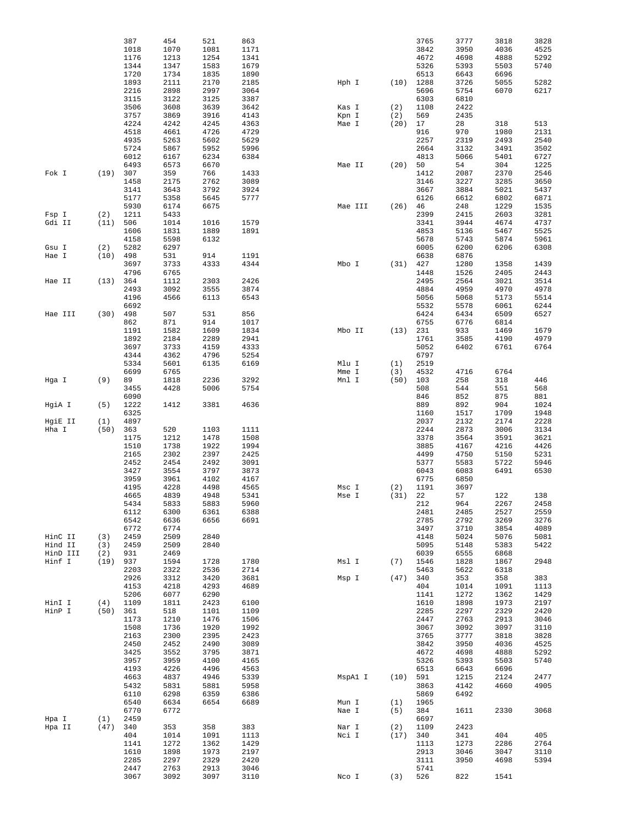|                    |                   | 387          | 454          | 521          | 863          |         |            | 3765         | 3777         | 3818         | 3828         |
|--------------------|-------------------|--------------|--------------|--------------|--------------|---------|------------|--------------|--------------|--------------|--------------|
|                    |                   | 1018         | 1070         | 1081         | 1171         |         |            | 3842         | 3950         | 4036         | 4525         |
|                    |                   | 1176         | 1213         | 1254         | 1341         |         |            | 4672         | 4698         | 4888         | 5292         |
|                    |                   | 1344<br>1720 | 1347<br>1734 | 1583<br>1835 | 1679<br>1890 |         |            | 5326<br>6513 | 5393<br>6643 | 5503<br>6696 | 5740         |
|                    |                   | 1893         | 2111         | 2170         | 2185         | Hph I   |            | $(10)$ 1288  | 3726         | 5055         | 5282         |
|                    |                   | 2216         | 2898         | 2997         | 3064         |         |            | 5696         | 5754         | 6070         | 6217         |
|                    |                   | 3115         | 3122         | 3125         | 3387         |         |            | 6303         | 6810         |              |              |
|                    |                   | 3506         | 3608         | 3639         | 3642         | Kas I   | (2)        | 1108         | 2422         |              |              |
|                    |                   | 3757         | 3869         | 3916         | 4143         | Kpn I   | (2)        | 569          | 2435         |              |              |
|                    |                   | 4224         | 4242         | 4245         | 4363         | Mae I   | (20)       | 17           | 28           | 318          | 513          |
|                    |                   | 4518         | 4661         | 4726         | 4729         |         |            | 916          | 970          | 1980         | 2131         |
|                    |                   | 4935         | 5263         | 5602         | 5629         |         |            | 2257         | 2319         | 2493         | 2540         |
|                    |                   | 5724<br>6012 | 5867<br>6167 | 5952<br>6234 | 5996<br>6384 |         |            | 2664<br>4813 | 3132<br>5066 | 3491<br>5401 | 3502<br>6727 |
|                    |                   | 6493         | 6573         | 6670         |              | Mae II  | (20)       | 50           | 54           | 304          | 1225         |
| Fok I              | (19)              | 307          | 359          | 766          | 1433         |         |            | 1412         | 2087         | 2370         | 2546         |
|                    |                   | 1458         | 2175         | 2762         | 3089         |         |            | 3146         | 3227         | 3285         | 3650         |
|                    |                   | 3141         | 3643         | 3792         | 3924         |         |            | 3667         | 3884         | 5021         | 5437         |
|                    |                   | 5177         | 5358         | 5645         | 5777         |         |            | 6126         | 6612         | 6802         | 6871         |
|                    |                   | 5930         | 6174         | 6675         |              | Mae III | (26)       | 46           | 248          | 1229         | 1535         |
| Fsp I              | (2)               | 1211         | 5433         |              |              |         |            | 2399         | 2415         | 2603         | 3281         |
| Gdi II             | (11)              | 506<br>1606  | 1014<br>1831 | 1016<br>1889 | 1579<br>1891 |         |            | 3341<br>4853 | 3944<br>5136 | 4674<br>5467 | 4737<br>5525 |
|                    |                   | 4158         | 5598         | 6132         |              |         |            | 5678         | 5743         | 5874         | 5961         |
| Gsu I              | (2)               | 5282         | 6297         |              |              |         |            | 6005         | 6200         | 6206         | 6308         |
| Hae I              | (10)              | 498          | 531          | 914          | 1191         |         |            | 6638         | 6876         |              |              |
|                    |                   | 3697         | 3733         | 4333         | 4344         | Mbo I   | (31)       | 427          | 1280         | 1358         | 1439         |
|                    |                   | 4796         | 6765         |              |              |         |            | 1448         | 1526         | 2405         | 2443         |
| Hae II             | (13)              | 364          | 1112         | 2303         | 2426         |         |            | 2495         | 2564         | 3021         | 3514         |
|                    |                   | 2493         | 3092         | 3555         | 3874         |         |            | 4884         | 4959         | 4970         | 4978         |
|                    |                   | 4196         | 4566         | 6113         | 6543         |         |            | 5056         | 5068         | 5173         | 5514         |
| Hae III            | (30)              | 6692<br>498  | 507          | 531          | 856          |         |            | 5532<br>6424 | 5578<br>6434 | 6061<br>6509 | 6244<br>6527 |
|                    |                   | 862          | 871          | 914          | 1017         |         |            | 6755         | 6776         | 6814         |              |
|                    |                   | 1191         | 1582         | 1609         | 1834         | Mbo II  | (13)       | 231          | 933          | 1469         | 1679         |
|                    |                   | 1892         | 2184         | 2289         | 2941         |         |            | 1761         | 3585         | 4190         | 4979         |
|                    |                   | 3697         | 3733         | 4159         | 4333         |         |            | 5052         | 6402         | 6761         | 6764         |
|                    |                   | 4344         | 4362         | 4796         | 5254         |         |            | 6797         |              |              |              |
|                    |                   | 5334         | 5601         | 6135         | 6169         | Mlu I   | (1)        | 2519         |              |              |              |
|                    |                   | 6699         | 6765         |              |              | Mme I   | (3)        | 4532         | 4716         | 6764         |              |
| Hga I              | (9)               | 89<br>3455   | 1818<br>4428 | 2236<br>5006 | 3292<br>5754 | Mnl I   | (50)       | 103<br>508   | 258<br>544   | 318<br>551   | 446<br>568   |
|                    |                   | 6090         |              |              |              |         |            | 846          | 852          | 875          | 881          |
| HgiA I             | (5)               | 1222         | 1412         | 3381         | 4636         |         |            | 889          | 892          | 904          | 1024         |
|                    |                   | 6325         |              |              |              |         |            | 1160         | 1517         | 1709         | 1948         |
| HgiE II            | (1)               | 4897         |              |              |              |         |            | 2037         | 2132         | 2174         | 2228         |
| Hha I              | (50)              | 363          | 520          | 1103         | 1111         |         |            | 2244         | 2873         | 3006         | 3134         |
|                    |                   | 1175         | 1212         | 1478         | 1508         |         |            | 3378         | 3564         | 3591         | 3621         |
|                    |                   | 1510         | 1738         | 1922         | 1994         |         |            | 3885         | 4167         | 4216         | 4426         |
|                    |                   | 2165<br>2452 | 2302<br>2454 | 2397<br>2492 | 2425<br>3091 |         |            | 4499<br>5377 | 4750<br>5583 | 5150<br>5722 | 5231<br>5946 |
|                    |                   | 3427         | 3554         | 3797         | 3873         |         |            | 6043         | 6083         | 6491         | 6530         |
|                    |                   | 3959         | 3961         | 4102         | 4167         |         |            | 6775         | 6850         |              |              |
|                    |                   | 4195         | 4228         | 4498         | 4565         | Msc I   | (2)        | 1191         | 3697         |              |              |
|                    |                   | 4665         | 4839         | 4948         | 5341         | Mse I   | (31)       | 22           | 57           | 122          | 138          |
|                    |                   | 5434         | 5833         | 5883         | 5960         |         |            | 212          | 964          | 2267         | 2458         |
|                    |                   | 6112         | 6300         | 6361         | 6388         |         |            | 2481         | 2485         | 2527         | 2559         |
|                    |                   | 6542         | 6636         | 6656         | 6691         |         |            | 2785         | 2792         | 3269         | 3276         |
|                    |                   | 6772         | 6774         |              |              |         |            | 3497         | 3710         | 3854         | 4089         |
| HinC II<br>Hind II | (3)<br>(3)        | 2459<br>2459 | 2509<br>2509 | 2840<br>2840 |              |         |            | 4148<br>5095 | 5024<br>5148 | 5076<br>5383 | 5081<br>5422 |
| HinD III           | (2)               | 931          | 2469         |              |              |         |            | 6039         | 6555         | 6868         |              |
| Hinf I             | (19)              | 937          | 1594         | 1728         | 1780         | Msl I   | (7)        | 1546         | 1828         | 1867         | 2948         |
|                    |                   | 2203         | 2322         | 2536         | 2714         |         |            | 5463         | 5622         | 6318         |              |
|                    |                   | 2926         | 3312         | 3420         | 3681         | Msp I   | (47) 340   |              | 353          | 358          | 383          |
|                    |                   | 4153         | 4218         | 4293         | 4689         |         |            | 404          | 1014         | 1091         | 1113         |
|                    |                   | 5206         | 6077         | 6290         |              |         |            | 1141         | 1272         | 1362         | 1429         |
| HinI I<br>HinP I   | (4)<br>$(50)$ 361 | 1109         | 1811<br>518  | 2423<br>1101 | 6100<br>1109 |         |            | 1610<br>2285 | 1898<br>2297 | 1973<br>2329 | 2197<br>2420 |
|                    |                   | 1173         | 1210         | 1476         | 1506         |         |            | 2447         | 2763         | 2913         | 3046         |
|                    |                   | 1508         | 1736         | 1920         | 1992         |         |            | 3067         | 3092         | 3097         | 3110         |
|                    |                   | 2163         | 2300         | 2395         | 2423         |         |            | 3765         | 3777         | 3818         | 3828         |
|                    |                   | 2450         | 2452         | 2490         | 3089         |         |            | 3842         | 3950         | 4036         | 4525         |
|                    |                   | 3425         | 3552         | 3795         | 3871         |         |            | 4672         | 4698         | 4888         | 5292         |
|                    |                   | 3957         | 3959         | 4100         | 4165         |         |            | 5326         | 5393         | 5503         | 5740         |
|                    |                   | 4193         | 4226         | 4496         | 4563         |         |            | 6513         | 6643         | 6696         |              |
|                    |                   | 4663         | 4837         | 4946         | 5339         | MspAl I | $(10)$ 591 | 3863         | 1215         | 2124<br>4660 | 2477<br>4905 |
|                    |                   | 5432<br>6110 | 5831<br>6298 | 5881<br>6359 | 5958<br>6386 |         |            | 5869         | 4142<br>6492 |              |              |
|                    |                   | 6540         | 6634         | 6654         | 6689         | Mun I   | (1)        | 1965         |              |              |              |
|                    |                   | 6770         | 6772         |              |              | Nae I   | (5)        | 384          | 1611         | 2330         | 3068         |
| Hpa I              | (1)               | 2459         |              |              |              |         |            | 6697         |              |              |              |
| Hpa II             | $(47)$ 340        |              | 353          | 358          | 383          | Nar I   | (2)        | 1109         | 2423         |              |              |
|                    |                   | 404          | 1014         | 1091         | 1113         | Nci I   | (17) 340   |              | 341          | 404          | 405          |
|                    |                   | 1141         | 1272         | 1362         | 1429         |         |            | 1113         | 1273         | 2286         | 2764         |
|                    |                   | 1610<br>2285 | 1898<br>2297 | 1973<br>2329 | 2197<br>2420 |         |            | 2913<br>3111 | 3046<br>3950 | 3047<br>4698 | 3110<br>5394 |
|                    |                   | 2447         | 2763         | 2913         | 3046         |         |            | 5741         |              |              |              |
|                    |                   | 3067         | 3092         | 3097         | 3110         | Nco I   | (3)        | 526          | 822          | 1541         |              |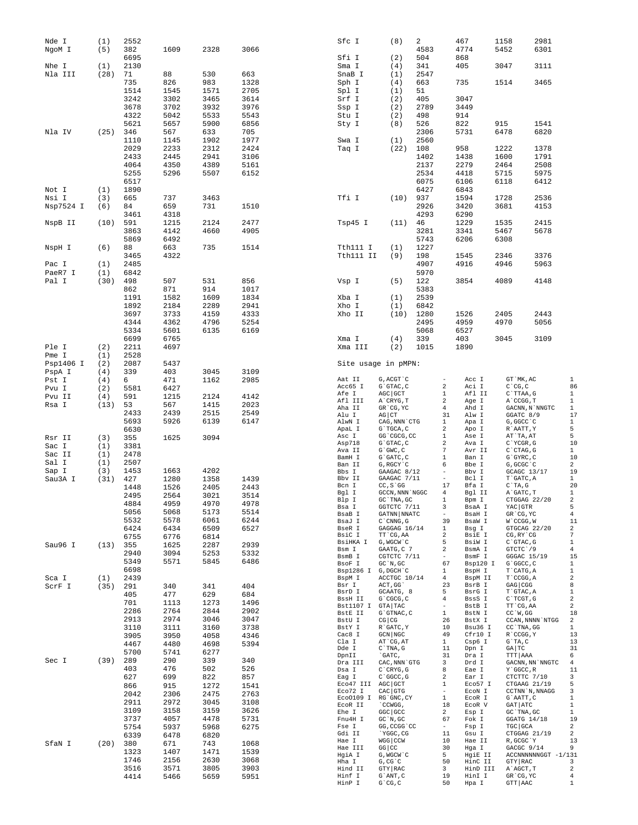| Nde I<br>NgoM I    | (1)<br>(5) | 2552<br>382<br>6695 | 1609         | 2328         | 3066         | Sfc I<br>Sfi I                  | (8)<br>(2)                              | 2<br>4583<br>504 |                                | 467<br>4774<br>868 | 1158<br>5452 |                                                   | 2981<br>6301                                   |                         |
|--------------------|------------|---------------------|--------------|--------------|--------------|---------------------------------|-----------------------------------------|------------------|--------------------------------|--------------------|--------------|---------------------------------------------------|------------------------------------------------|-------------------------|
| Nhe I              | (1)        | 2130                |              |              |              | Sma I                           | (4)                                     | 341              |                                | 405                | 3047         |                                                   | 3111                                           |                         |
| Nla III            | (28)       | 71                  | 88           | 530          | 663          | SnaB I                          | (1)                                     | 2547             |                                |                    |              |                                                   |                                                |                         |
|                    |            | 735<br>1514         | 826<br>1545  | 983<br>1571  | 1328<br>2705 | Sph I<br>Spl I                  | (4)<br>(1)                              | 663<br>51        |                                | 735                | 1514         |                                                   | 3465                                           |                         |
|                    |            | 3242                | 3302         | 3465         | 3614         | Srf I                           | (2)                                     | 405              |                                | 3047               |              |                                                   |                                                |                         |
|                    |            | 3678                | 3702         | 3932         | 3976         | Ssp I                           | (2)                                     | 2789             |                                | 3449               |              |                                                   |                                                |                         |
|                    |            | 4322                | 5042         | 5533         | 5543         | Stu I                           | (2)                                     | 498              |                                | 914                |              |                                                   |                                                |                         |
|                    |            | 5621                | 5657         | 5900         | 6856         | Sty I                           | (8)                                     | 526              |                                | 822                | 915          |                                                   | 1541                                           |                         |
| Nla IV             | (25)       | 346                 | 567          | 633          | 705          |                                 |                                         | 2306             |                                | 5731               | 6478         |                                                   | 6820                                           |                         |
|                    |            | 1110<br>2029        | 1145<br>2233 | 1902<br>2312 | 1977<br>2424 | Swa I<br>Taq I                  | (1)<br>(22)                             | 2560<br>108      |                                | 958                | 1222         |                                                   | 1378                                           |                         |
|                    |            | 2433                | 2445         | 2941         | 3106         |                                 |                                         | 1402             |                                | 1438               | 1600         |                                                   | 1791                                           |                         |
|                    |            | 4064                | 4350         | 4389         | 5161         |                                 |                                         | 2137             |                                | 2279               | 2464         |                                                   | 2508                                           |                         |
|                    |            | 5255                | 5296         | 5507         | 6152         |                                 |                                         | 2534             |                                | 4418               | 5715         |                                                   | 5975                                           |                         |
|                    |            | 6517                |              |              |              |                                 |                                         | 6075             |                                | 6106               | 6118         |                                                   | 6412                                           |                         |
| Not I<br>Nsi I     | (1)<br>(3) | 1890<br>665         | 737          | 3463         |              | Tfi I                           | (10)                                    | 6427<br>937      |                                | 6843<br>1594       | 1728         |                                                   | 2536                                           |                         |
| Nsp7524 I          | (6)        | 84                  | 659          | 731          | 1510         |                                 |                                         | 2926             |                                | 3420               | 3681         |                                                   | 4153                                           |                         |
|                    |            | 3461                | 4318         |              |              |                                 |                                         | 4293             |                                | 6290               |              |                                                   |                                                |                         |
| NspB II            | (10)       | 591                 | 1215         | 2124         | 2477         | Tsp45 I                         | (11)                                    | 46               |                                | 1229               | 1535         |                                                   | 2415                                           |                         |
|                    |            | 3863                | 4142         | 4660         | 4905         |                                 |                                         | 3281             |                                | 3341               | 5467         |                                                   | 5678                                           |                         |
|                    |            | 5869                | 6492         |              |              |                                 |                                         | 5743             |                                | 6206               | 6308         |                                                   |                                                |                         |
| NspH I             | (6)        | 88<br>3465          | 663<br>4322  | 735          | 1514         | Tth111 I<br>Tth111 II           | (1)<br>(9)                              | 1227<br>198      |                                | 1545               | 2346         |                                                   | 3376                                           |                         |
| Pac I              | (1)        | 2485                |              |              |              |                                 |                                         | 4907             |                                | 4916               | 4946         |                                                   | 5963                                           |                         |
| PaeR7 I            | (1)        | 6842                |              |              |              |                                 |                                         | 5970             |                                |                    |              |                                                   |                                                |                         |
| Pal I              | (30)       | 498                 | 507          | 531          | 856          | Vsp I                           | (5)                                     | 122              |                                | 3854               | 4089         |                                                   | 4148                                           |                         |
|                    |            | 862                 | 871          | 914          | 1017         |                                 |                                         | 5383             |                                |                    |              |                                                   |                                                |                         |
|                    |            | 1191                | 1582         | 1609         | 1834         | Xba I                           | (1)                                     | 2539             |                                |                    |              |                                                   |                                                |                         |
|                    |            | 1892<br>3697        | 2184<br>3733 | 2289<br>4159 | 2941<br>4333 | Xho I<br>Xho II                 | (1)<br>(10)                             | 6842<br>1280     |                                | 1526               | 2405         |                                                   | 2443                                           |                         |
|                    |            | 4344                | 4362         | 4796         | 5254         |                                 |                                         | 2495             |                                | 4959               | 4970         |                                                   | 5056                                           |                         |
|                    |            | 5334                | 5601         | 6135         | 6169         |                                 |                                         | 5068             |                                | 6527               |              |                                                   |                                                |                         |
|                    |            | 6699                | 6765         |              |              | Xma I                           | (4)                                     | 339              |                                | 403                | 3045         |                                                   | 3109                                           |                         |
| Ple I              | (2)        | 2211                | 4697         |              |              | Xma III                         | (2)                                     | 1015             |                                | 1890               |              |                                                   |                                                |                         |
| Pme I<br>Psp1406 I | (1)<br>(2) | 2528<br>2087        | 5437         |              |              | Site usage in pMPN:             |                                         |                  |                                |                    |              |                                                   |                                                |                         |
| PspA I             | (4)        | 339                 | 403          | 3045         | 3109         |                                 |                                         |                  |                                |                    |              |                                                   |                                                |                         |
| Pst I              | (4)        | 6                   | 471          | 1162         | 2985         | Aat II                          | G, ACGT C                               |                  |                                | Acc I              |              | GT `MK, AC                                        |                                                | $\mathbf{1}$            |
| Pvu I              | (2)        | 5581                | 6427         |              |              | Acc65 I                         | G`GTAC, C                               |                  | 2                              | Aci I              |              | $C^{\wedge}CG, C$                                 |                                                | 86                      |
| Pvu II             | (4)        | 591                 | 1215         | 2124         | 4142         | Afe I<br>Afl III                | AGC GCT<br>A`CRYG, T                    |                  | 1<br>2                         | Afl II<br>Age I    |              | C`TTAA, G<br>A`CCGG, T                            |                                                | 1<br>1                  |
| Rsa I              | (13)       | 53                  | 567          | 1415         | 2023         | Aha II                          | GR CG, YC                               |                  | 4                              | Ahd I              |              | $\texttt{GACNN}$ , $\texttt{N}$ $\texttt{'NNGTC}$ |                                                | $\mathbf{1}$            |
|                    |            | 2433<br>5693        | 2439<br>5926 | 2515<br>6139 | 2549<br>6147 | Alu I<br>AlwN I                 | $AG$ $CT$<br>CAG, NNN CTG               |                  | 31<br>1                        | Alw I<br>Apa I     |              | GGATC 8/9<br>G, GGCC `C                           |                                                | 17<br>$\mathbf{1}$      |
|                    |            | 6630                |              |              |              | ApaL I                          | G`TGCA, C                               |                  | 2                              | Apo I              |              | R`AATT, Y                                         |                                                | 5                       |
| Rsr II             | (3)        | 355                 | 1625         | 3094         |              | Asc I                           | GG 'CGCG, CC                            |                  | 1                              | Ase I              |              | AT`TA, AT                                         |                                                | 5                       |
| Sac I              | (1)        | 3381                |              |              |              | Asp718<br>Ava II                | $G$ $GTAC$ , $C$<br>$G$ $GWC$ , $C$     |                  | 2<br>7                         | Ava I<br>Avr II    |              | $C^{\wedge}$ YCGR, G<br>$C$ $CTAG$ , $G$          |                                                | 10<br>$\mathbf{1}$      |
| Sac II             | (1)        | 2478                |              |              |              | BamH I                          | $G$ $GATC$ , $C$                        |                  | 1                              | Ban I              |              | $G$ $GYRC$ , $C$                                  |                                                | 10                      |
| Sal I<br>Sap I     | (1)<br>(3) | 2507<br>1453        | 1663         | 4202         |              | Ban II<br>Bbs I                 | G, RGCY `C                              |                  | 6                              | Bbe I<br>Bbv I     |              | G, GCGC `C                                        |                                                | 2<br>19                 |
| Sau3A I            | (31)       | 427                 | 1280         | 1358         | 1439         | Bbv II                          | GAAGAC 8/12<br>GAAGAC 7/11              |                  | $\equiv$                       | Bcl I              |              | GCAGC 13/17<br>T`GATC, A                          |                                                | 1                       |
|                    |            | 1448                | 1526         | 2405         | 2443         | Bcn I                           | $CC, S$ GG                              |                  | 17                             | Bfa I              |              | $C^T A$ , G                                       |                                                | 20                      |
|                    |            | 2495                | 2564         | 3021         | 3514         | Bgl I<br>Blp I                  | GCCN, NNN 'NGGC<br>GC `TNA, GC          |                  | 4<br>1                         | Bgl II<br>Bpm I    |              | A GATC, T<br>CTGGAG 22/20                         |                                                | 1<br>2                  |
|                    |            | 4884                | 4959         | 4970         | 4978         | Bsa I                           | GGTCTC 7/11                             |                  | 3                              | BsaA I             |              | YAC GTR                                           |                                                | 5                       |
|                    |            | 5056<br>5532        | 5068<br>5578 | 5173<br>6061 | 5514<br>6244 | BsaB I                          | GATNN NNATC                             |                  | $\overline{\phantom{a}}$       | BsaH I<br>BsaW I   |              | GR CG, YC                                         |                                                | 4                       |
|                    |            | 6424                | 6434         | 6509         | 6527         | BsaJ I<br>BseR I                | $C$ $\cap$ $CNNG$ , $G$<br>GAGGAG 16/14 |                  | 39<br>$\mathbf{1}$             | Bsq I              |              | W`CCGG, W<br>GTGCAG 22/20                         |                                                | 11<br>$\sqrt{2}$        |
|                    |            | 6755                | 6776         | 6814         |              | BsiC I                          | TT `CG, AA                              |                  | $\overline{a}$                 | BsiE I             |              | $CG, RY^{\wedge} CG$                              |                                                | $\overline{7}$          |
| Sau96 I            | (13)       | 355                 | 1625         | 2287         | 2939         | BsiHKA I<br>Bsm I               | G, WGCW`C<br>GAATG, C 7                 |                  | 5<br>2                         | BsiW I<br>BsmA I   |              | C`GTAC, G<br>GTCTC 79                             |                                                | $\mathbf{1}$<br>4       |
|                    |            | 2940                | 3094         | 5253         | 5332         | BsmB I                          | CGTCTC 7/11                             |                  | $\overline{\phantom{a}}$       | BsmF I             |              | GGGAC 15/19                                       |                                                | 15                      |
|                    |            | 5349                | 5571         | 5845         | 6486         | BsoF I                          | $GC^N$ , $GC$                           |                  | 67                             | Bsp120 I           |              | G`GGCC, C                                         |                                                | $\mathbf{1}$            |
| Sca I              | (1)        | 6698<br>2439        |              |              |              | Bsp1286 I G, DGCH C<br>BspM I   | ACCTGC 10/14                            |                  | $\mathbf{1}$<br>$\overline{4}$ | BspH I<br>BspM II  |              | T`CATG, A<br>T`CCGG, A                            |                                                | $1\,$<br>$\sqrt{2}$     |
| ScrF I             | (35)       | 291                 | 340          | 341          | 404          | Bsr I                           | ACT, GG                                 |                  | 23                             | BsrB I             |              | $GAG$ $CGG$                                       |                                                | 8                       |
|                    |            | 405                 | 477          | 629          | 684          | BsrD I<br>BssH II               | GCAATG, 8<br>G`CGCG, C                  |                  | 5<br>4                         | BsrG I<br>BssS I   |              | T`GTAC, A<br>C`TCGT, G                            |                                                | $1\,$<br>2              |
|                    |            | 701                 | 1113         | 1273         | 1496         | Bst1107 I GTA TAC               |                                         |                  | $\overline{\phantom{a}}$       | BstB I             |              | TT `CG, AA                                        |                                                | $\overline{\mathbf{c}}$ |
|                    |            | 2286<br>2913        | 2764<br>2974 | 2844<br>3046 | 2902         | BstE II                         | G`GTNAC, C                              |                  | $\mathbf{1}$                   | BstN I             |              | $CC^W$ , GG                                       |                                                | 18                      |
|                    |            | 3110                | 3111         | 3160         | 3047<br>3738 | BstU I<br>BstY I                | $CG$ $CG$<br>R GATC, Y                  |                  | 26<br>10                       | BstX I<br>Bsu36 I  |              | CC `TNA, GG                                       | CCAN, NNNN `NTGG                               | 2<br>$\mathbf{1}$       |
|                    |            | 3905                | 3950         | 4058         | 4346         | Cac8 I                          | $GCN$ $NGC$                             |                  | 49                             | Cfr10 I            |              | R`CCGG, Y                                         |                                                | 13                      |
|                    |            | 4467                | 4480         | 4698         | 5394         | Cla I<br>Dde I                  | AT CG, AT<br>$C$ TNA, $G$               |                  | $\mathbf{1}$<br>11             | Csp6 I<br>Dpn I    |              | $G^T A, C$<br>GA   TC                             |                                                | 13<br>31                |
|                    |            | 5700                | 5741         | 6277         |              | DpnII                           | `GATC,                                  |                  | 31                             | Dra I              |              | TTT AAA                                           |                                                | 6                       |
| Sec I              | (39)       | 289                 | 290          | 339          | 340          | Dra III                         | CAC, NNN `GTG                           |                  | 3                              | Drd I              |              |                                                   | ${\tt GACNN}$ , ${\tt NN}$ $\lq$ ${\tt NNGTC}$ | $\overline{4}$          |
|                    |            | 403<br>627          | 476<br>699   | 502<br>822   | 526<br>857   | Dsa I<br>Eag I                  | $C$ $CRYG$ , $G$<br>$C$ $C$ $G$ $C$ $G$ |                  | 8<br>2                         | Eae I<br>Ear I     |              | Y`GGCC, R<br>CTCTTC 7/10                          |                                                | 11<br>3                 |
|                    |            | 866                 | 915          | 1272         | 1541         | Eco47 III AGC GCT               |                                         |                  | $\mathbf{1}$                   | Eco57 I            |              | CTGAAG 21/19                                      |                                                | 5                       |
|                    |            | 2042                | 2306         | 2475         | 2763         | Eco72 I                         | $CAC$ GTG                               |                  | $\sim$<br>$\mathbf{1}$         | ECON I             |              | CCTNN `N, NNAGG                                   |                                                | 3<br>$1\,$              |
|                    |            | 2911                | 2972         | 3045         | 3108         | Eco0109 I RG'GNC, CY<br>ECOR II | CCWGG,                                  |                  | 18                             | ECOR I<br>ECOR V   |              | G`AATT, C<br>GAT ATC                              |                                                | 1                       |
|                    |            | 3109                | 3158         | 3159         | 3626         | Ehe I                           | GGC GCC                                 |                  | $\overline{a}$                 | Esp I              |              | GC `TNA, GC                                       |                                                | $\mathbf{1}$            |
|                    |            | 3737<br>5754        | 4057<br>5937 | 4478<br>5968 | 5731<br>6275 | Fnu4H I<br>Fse I                | $GC^N$ , $GC$<br>GG, CCGG 'CC           |                  | 67<br>$\overline{\phantom{a}}$ | Fok I<br>Fsp I     |              | GGATG 14/18<br>TGC GCA                            |                                                | 19<br>2                 |
|                    |            | 6339                | 6478         | 6820         |              | Gdi II                          | `YGGC, CG                               |                  | 11                             | Gsu I              |              | CTGGAG 21/19                                      |                                                | 2                       |
| SfaN I             | (20)       | 380                 | 671          | 743          | 1068         | Hae I                           | WGG CCW                                 |                  | 10                             | Hae II             |              | R, GCGC`Y                                         |                                                | 13                      |
|                    |            | 1323                | 1407         | 1471         | 1539         | Hae III<br>HgiA I               | $GG$ $CC$<br>G, WGCW `C                 |                  | 30<br>5                        | Hga I<br>HgiE II   |              | GACGC 9/14                                        | ACCNNNNNNGGT -1/131                            | 9                       |
|                    |            | 1746                | 2156         | 2630         | 3068         | Hha I                           | G, CG, C                                |                  | 50                             | HinC II            |              | GTY RAC                                           |                                                | 3                       |
|                    |            | 3516                | 3571         | 3805         | 3903         | Hind II<br>Hinf I               | GTY RAC<br>$G$ $\wedge$ ANT, $C$        |                  | 3<br>19                        | HinD III<br>HinI I |              | A`AGCT, T<br>GR CG, YC                            |                                                | 2<br>4                  |
|                    |            | 4414                | 5466         | 5659         | 5951         | HinP I                          | $G^{\wedge}CG, C$                       |                  | 50                             | Hpa I              |              | GTT AAC                                           |                                                | $\mathbf{1}$            |